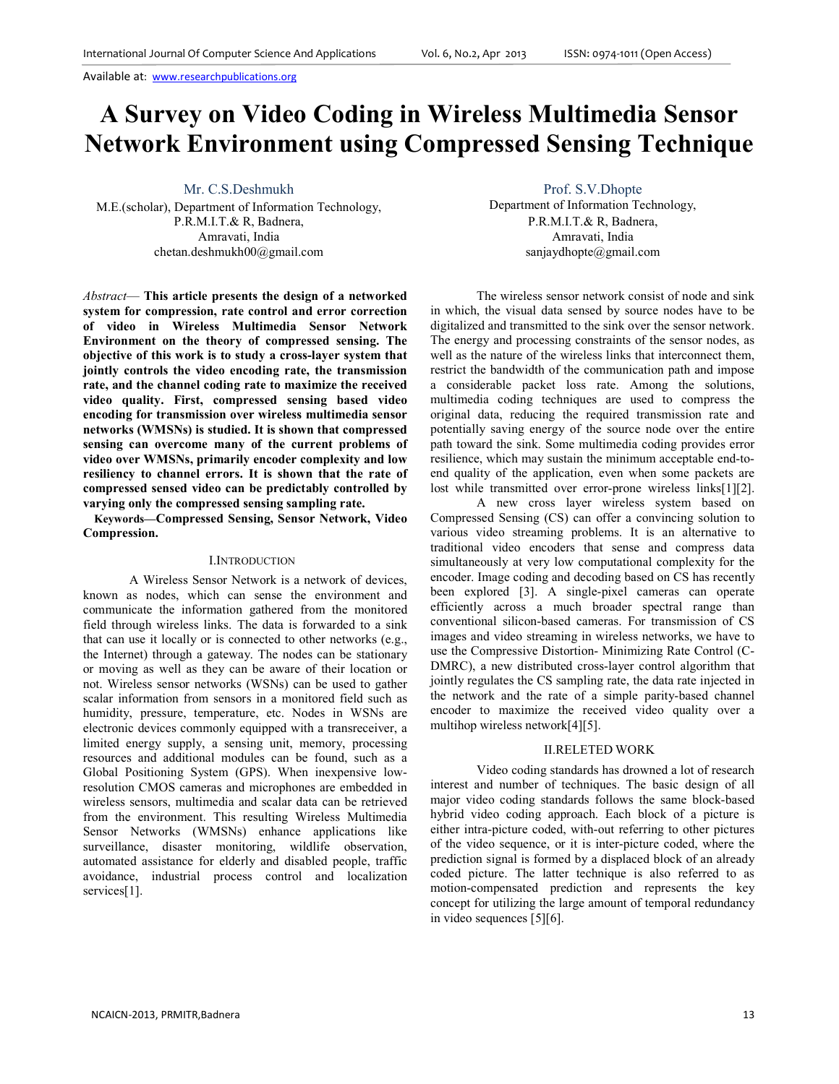# **A Survey on Video Coding in Wireless Multimedia Sensor Network Environment using Compressed Sensing Technique**

Mr. C.S.Deshmukh

M.E.(scholar), Department of Information Technology, P.R.M.I.T.& R, Badnera, Amravati, India chetan.deshmukh00@gmail.com

*Abstract*— **This article presents the design of a networked system for compression, rate control and error correction of video in Wireless Multimedia Sensor Network Environment on the theory of compressed sensing. The objective of this work is to study a cross-layer system that jointly controls the video encoding rate, the transmission rate, and the channel coding rate to maximize the received video quality. First, compressed sensing based video encoding for transmission over wireless multimedia sensor networks (WMSNs) is studied. It is shown that compressed sensing can overcome many of the current problems of video over WMSNs, primarily encoder complexity and low resiliency to channel errors. It is shown that the rate of compressed sensed video can be predictably controlled by varying only the compressed sensing sampling rate.** 

**Keywords—Compressed Sensing, Sensor Network, Video Compression.**

# I.INTRODUCTION

 A Wireless Sensor Network is a network of devices, known as nodes, which can sense the environment and communicate the information gathered from the monitored field through wireless links. The data is forwarded to a sink that can use it locally or is connected to other networks (e.g., the Internet) through a gateway. The nodes can be stationary or moving as well as they can be aware of their location or not. Wireless sensor networks (WSNs) can be used to gather scalar information from sensors in a monitored field such as humidity, pressure, temperature, etc. Nodes in WSNs are electronic devices commonly equipped with a transreceiver, a limited energy supply, a sensing unit, memory, processing resources and additional modules can be found, such as a Global Positioning System (GPS). When inexpensive lowresolution CMOS cameras and microphones are embedded in wireless sensors, multimedia and scalar data can be retrieved from the environment. This resulting Wireless Multimedia Sensor Networks (WMSNs) enhance applications like surveillance, disaster monitoring, wildlife observation, automated assistance for elderly and disabled people, traffic avoidance, industrial process control and localization services[1].

Prof. S.V.Dhopte

Department of Information Technology, P.R.M.I.T.& R, Badnera, Amravati, India sanjaydhopte@gmail.com

 The wireless sensor network consist of node and sink in which, the visual data sensed by source nodes have to be digitalized and transmitted to the sink over the sensor network. The energy and processing constraints of the sensor nodes, as well as the nature of the wireless links that interconnect them, restrict the bandwidth of the communication path and impose a considerable packet loss rate. Among the solutions, multimedia coding techniques are used to compress the original data, reducing the required transmission rate and potentially saving energy of the source node over the entire path toward the sink. Some multimedia coding provides error resilience, which may sustain the minimum acceptable end-toend quality of the application, even when some packets are lost while transmitted over error-prone wireless links[1][2].

 A new cross layer wireless system based on Compressed Sensing (CS) can offer a convincing solution to various video streaming problems. It is an alternative to traditional video encoders that sense and compress data simultaneously at very low computational complexity for the encoder. Image coding and decoding based on CS has recently been explored [3]. A single-pixel cameras can operate efficiently across a much broader spectral range than conventional silicon-based cameras. For transmission of CS images and video streaming in wireless networks, we have to use the Compressive Distortion- Minimizing Rate Control (C-DMRC), a new distributed cross-layer control algorithm that jointly regulates the CS sampling rate, the data rate injected in the network and the rate of a simple parity-based channel encoder to maximize the received video quality over a multihop wireless network[4][5].

# II.RELETED WORK

 Video coding standards has drowned a lot of research interest and number of techniques. The basic design of all major video coding standards follows the same block-based hybrid video coding approach. Each block of a picture is either intra-picture coded, with-out referring to other pictures of the video sequence, or it is inter-picture coded, where the prediction signal is formed by a displaced block of an already coded picture. The latter technique is also referred to as motion-compensated prediction and represents the key concept for utilizing the large amount of temporal redundancy in video sequences [5][6].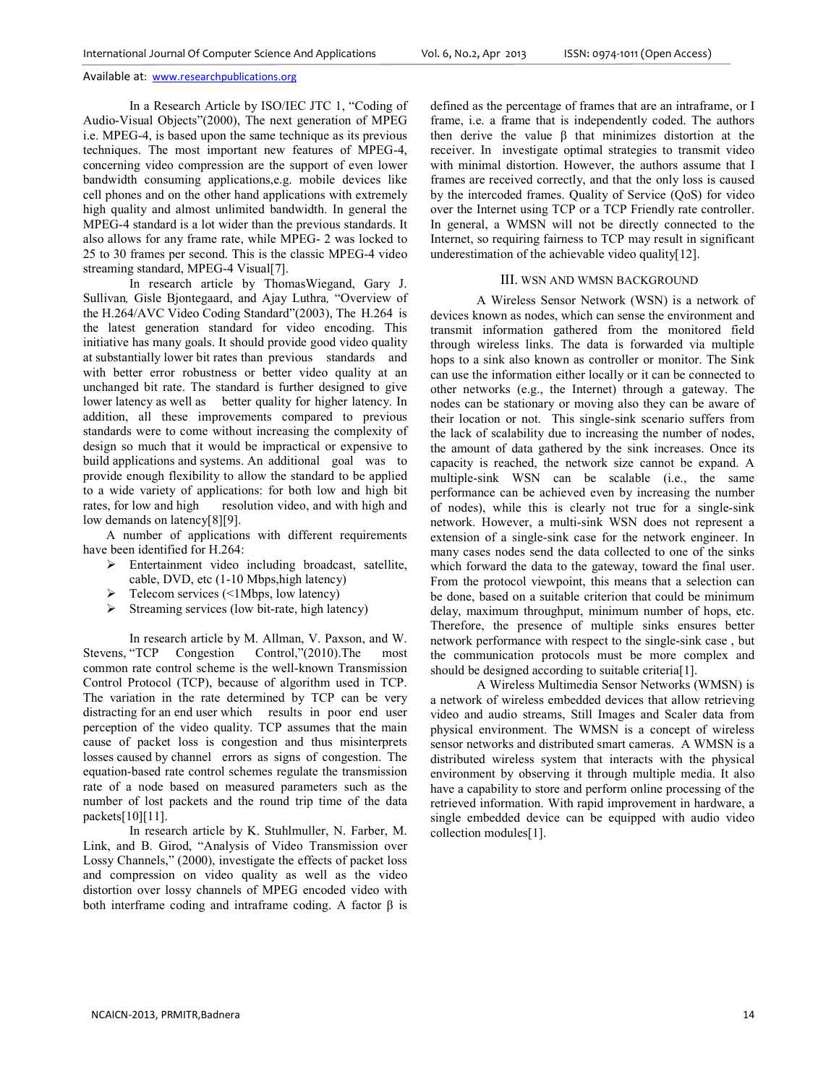In a Research Article by ISO/IEC JTC 1, "Coding of Audio-Visual Objects"(2000), The next generation of MPEG i.e. MPEG-4, is based upon the same technique as its previous techniques. The most important new features of MPEG-4, concerning video compression are the support of even lower bandwidth consuming applications,e.g. mobile devices like cell phones and on the other hand applications with extremely high quality and almost unlimited bandwidth. In general the MPEG-4 standard is a lot wider than the previous standards. It also allows for any frame rate, while MPEG- 2 was locked to 25 to 30 frames per second. This is the classic MPEG-4 video streaming standard, MPEG-4 Visual[7].

 In research article by ThomasWiegand, Gary J. Sullivan*,* Gisle Bjontegaard, and Ajay Luthra*,* "Overview of the H.264/AVC Video Coding Standard"(2003), The H.264 is the latest generation standard for video encoding. This initiative has many goals. It should provide good video quality at substantially lower bit rates than previous standards and with better error robustness or better video quality at an unchanged bit rate. The standard is further designed to give lower latency as well as better quality for higher latency. In addition, all these improvements compared to previous standards were to come without increasing the complexity of design so much that it would be impractical or expensive to build applications and systems. An additional goal was to provide enough flexibility to allow the standard to be applied to a wide variety of applications: for both low and high bit rates, for low and high resolution video, and with high and low demands on latency[8][9].

A number of applications with different requirements have been identified for H.264:

- Entertainment video including broadcast, satellite, cable, DVD, etc (1-10 Mbps,high latency)
- $\triangleright$  Telecom services (<1Mbps, low latency)
- $\triangleright$  Streaming services (low bit-rate, high latency)

 In research article by M. Allman, V. Paxson, and W. Stevens, "TCP Congestion Control,"(2010).The most common rate control scheme is the well-known Transmission Control Protocol (TCP), because of algorithm used in TCP. The variation in the rate determined by TCP can be very distracting for an end user which results in poor end user perception of the video quality. TCP assumes that the main cause of packet loss is congestion and thus misinterprets losses caused by channel errors as signs of congestion. The equation-based rate control schemes regulate the transmission rate of a node based on measured parameters such as the number of lost packets and the round trip time of the data packets $[10][11]$ .

 In research article by K. Stuhlmuller, N. Farber, M. Link, and B. Girod, "Analysis of Video Transmission over Lossy Channels," (2000), investigate the effects of packet loss and compression on video quality as well as the video distortion over lossy channels of MPEG encoded video with both interframe coding and intraframe coding. A factor β is defined as the percentage of frames that are an intraframe, or I frame, i.e. a frame that is independently coded. The authors then derive the value  $\beta$  that minimizes distortion at the receiver. In investigate optimal strategies to transmit video with minimal distortion. However, the authors assume that I frames are received correctly, and that the only loss is caused by the intercoded frames. Quality of Service (QoS) for video over the Internet using TCP or a TCP Friendly rate controller. In general, a WMSN will not be directly connected to the Internet, so requiring fairness to TCP may result in significant underestimation of the achievable video quality[12].

# III. WSN AND WMSN BACKGROUND

 A Wireless Sensor Network (WSN) is a network of devices known as nodes, which can sense the environment and transmit information gathered from the monitored field through wireless links. The data is forwarded via multiple hops to a sink also known as controller or monitor. The Sink can use the information either locally or it can be connected to other networks (e.g., the Internet) through a gateway. The nodes can be stationary or moving also they can be aware of their location or not. This single-sink scenario suffers from the lack of scalability due to increasing the number of nodes, the amount of data gathered by the sink increases. Once its capacity is reached, the network size cannot be expand. A multiple-sink WSN can be scalable (i.e., the same performance can be achieved even by increasing the number of nodes), while this is clearly not true for a single-sink network. However, a multi-sink WSN does not represent a extension of a single-sink case for the network engineer. In many cases nodes send the data collected to one of the sinks which forward the data to the gateway, toward the final user. From the protocol viewpoint, this means that a selection can be done, based on a suitable criterion that could be minimum delay, maximum throughput, minimum number of hops, etc. Therefore, the presence of multiple sinks ensures better network performance with respect to the single-sink case , but the communication protocols must be more complex and should be designed according to suitable criteria[1].

 A Wireless Multimedia Sensor Networks (WMSN) is a network of wireless embedded devices that allow retrieving video and audio streams, Still Images and Scaler data from physical environment. The WMSN is a concept of wireless sensor networks and distributed smart cameras. A WMSN is a distributed wireless system that interacts with the physical environment by observing it through multiple media. It also have a capability to store and perform online processing of the retrieved information. With rapid improvement in hardware, a single embedded device can be equipped with audio video collection modules[1].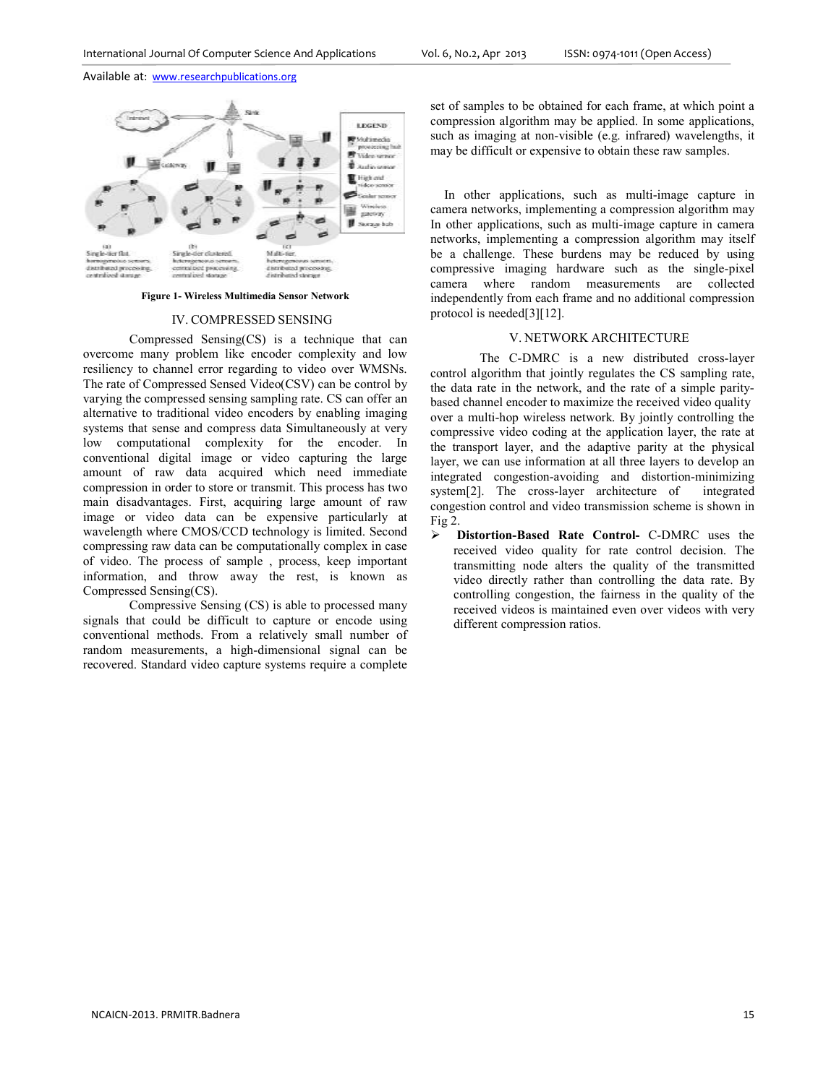

**Figure 1- Wireless Multimedia Sensor Network** 

### IV. COMPRESSED SENSING

 Compressed Sensing(CS) is a technique that can overcome many problem like encoder complexity and low resiliency to channel error regarding to video over WMSNs. The rate of Compressed Sensed Video(CSV) can be control by varying the compressed sensing sampling rate. CS can offer an alternative to traditional video encoders by enabling imaging systems that sense and compress data Simultaneously at very low computational complexity for the encoder. In conventional digital image or video capturing the large amount of raw data acquired which need immediate compression in order to store or transmit. This process has two main disadvantages. First, acquiring large amount of raw image or video data can be expensive particularly at wavelength where CMOS/CCD technology is limited. Second compressing raw data can be computationally complex in case of video. The process of sample , process, keep important information, and throw away the rest, is known as Compressed Sensing(CS).

 Compressive Sensing (CS) is able to processed many signals that could be difficult to capture or encode using conventional methods. From a relatively small number of random measurements, a high-dimensional signal can be recovered. Standard video capture systems require a complete

set of samples to be obtained for each frame, at which point a compression algorithm may be applied. In some applications, such as imaging at non-visible (e.g. infrared) wavelengths, it may be difficult or expensive to obtain these raw samples.

In other applications, such as multi-image capture in camera networks, implementing a compression algorithm may In other applications, such as multi-image capture in camera networks, implementing a compression algorithm may itself be a challenge. These burdens may be reduced by using compressive imaging hardware such as the single-pixel camera where random measurements are collected independently from each frame and no additional compression protocol is needed[3][12].

# V. NETWORK ARCHITECTURE

 The C-DMRC is a new distributed cross-layer control algorithm that jointly regulates the CS sampling rate, the data rate in the network, and the rate of a simple paritybased channel encoder to maximize the received video quality over a multi-hop wireless network. By jointly controlling the compressive video coding at the application layer, the rate at the transport layer, and the adaptive parity at the physical layer, we can use information at all three layers to develop an integrated congestion-avoiding and distortion-minimizing system<sup>[2]</sup>. The cross-layer architecture of integrated congestion control and video transmission scheme is shown in Fig 2.

 **Distortion-Based Rate Control-** C-DMRC uses the received video quality for rate control decision. The transmitting node alters the quality of the transmitted video directly rather than controlling the data rate. By controlling congestion, the fairness in the quality of the received videos is maintained even over videos with very different compression ratios.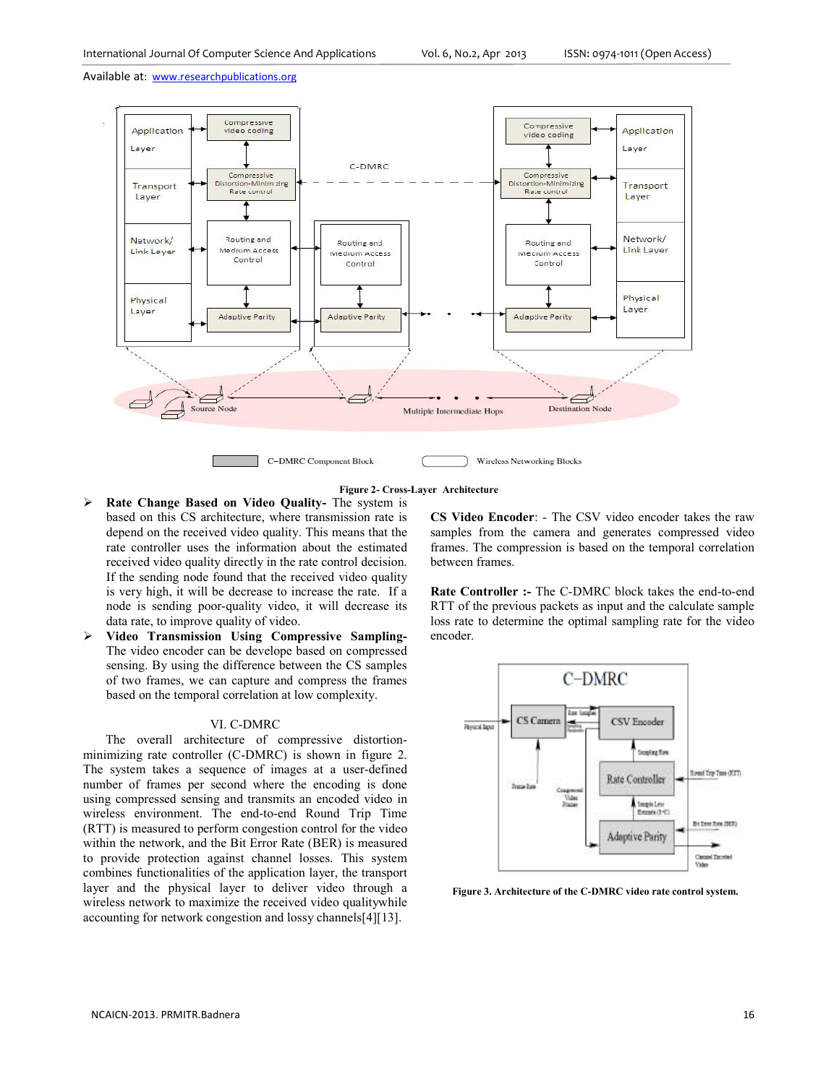

#### **Figure 2- Cross-Layer Architecture**

- **Rate Change Based on Video Quality-** The system is based on this CS architecture, where transmission rate is depend on the received video quality. This means that the rate controller uses the information about the estimated received video quality directly in the rate control decision. If the sending node found that the received video quality is very high, it will be decrease to increase the rate. If a node is sending poor-quality video, it will decrease its data rate, to improve quality of video.
- **Video Transmission Using Compressive Sampling-**The video encoder can be develope based on compressed sensing. By using the difference between the CS samples of two frames, we can capture and compress the frames based on the temporal correlation at low complexity.

### VI. C-DMRC

 The overall architecture of compressive distortionminimizing rate controller (C-DMRC) is shown in figure 2. The system takes a sequence of images at a user-defined number of frames per second where the encoding is done using compressed sensing and transmits an encoded video in wireless environment. The end-to-end Round Trip Time (RTT) is measured to perform congestion control for the video within the network, and the Bit Error Rate (BER) is measured to provide protection against channel losses. This system combines functionalities of the application layer, the transport layer and the physical layer to deliver video through a wireless network to maximize the received video qualitywhile accounting for network congestion and lossy channels[4][13].

**CS Video Encoder**: - The CSV video encoder takes the raw samples from the camera and generates compressed video frames. The compression is based on the temporal correlation between frames.

**Rate Controller :-** The C-DMRC block takes the end-to-end RTT of the previous packets as input and the calculate sample loss rate to determine the optimal sampling rate for the video encoder.



**Figure 3. Architecture of the C-DMRC video rate control system.**